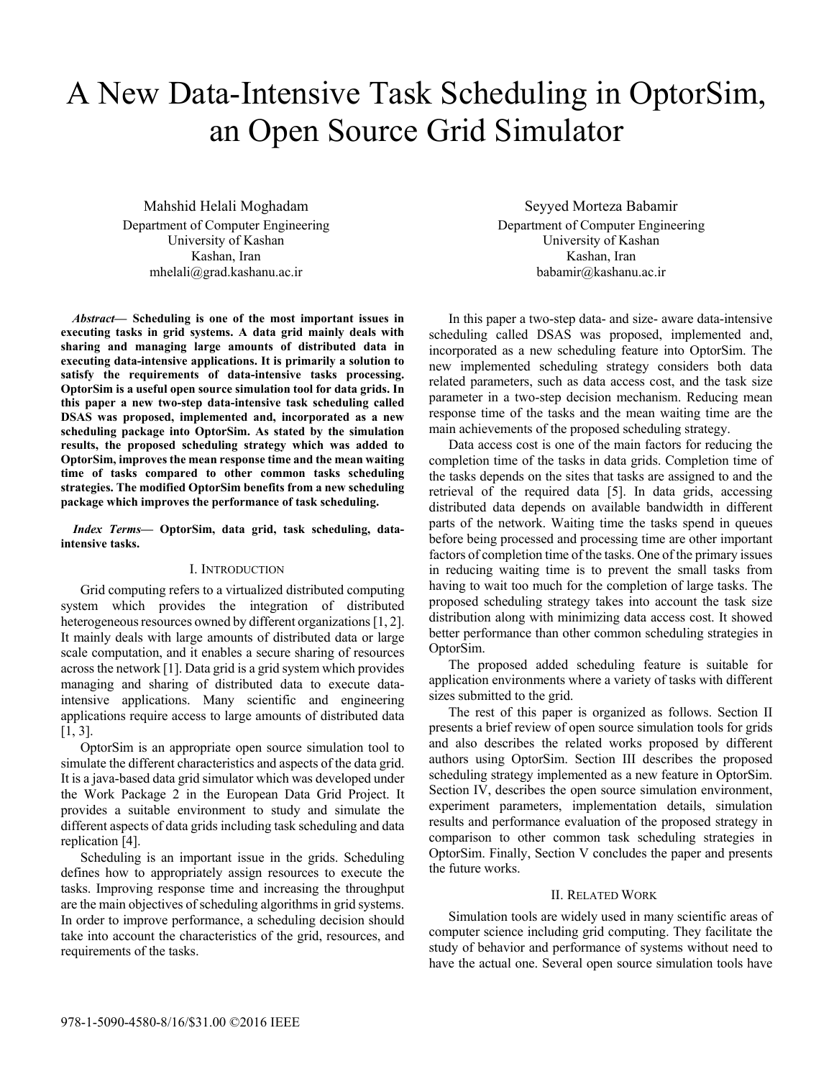# A New Data-Intensive Task Scheduling in OptorSim, an Open Source Grid Simulator

Mahshid Helali Moghadam Department of Computer Engineering University of Kashan Kashan, Iran mhelali@grad.kashanu.ac.ir

*Abstract***— Scheduling is one of the most important issues in executing tasks in grid systems. A data grid mainly deals with sharing and managing large amounts of distributed data in executing data-intensive applications. It is primarily a solution to satisfy the requirements of data-intensive tasks processing. OptorSim is a useful open source simulation tool for data grids. In this paper a new two-step data-intensive task scheduling called DSAS was proposed, implemented and, incorporated as a new scheduling package into OptorSim. As stated by the simulation results, the proposed scheduling strategy which was added to OptorSim, improves the mean response time and the mean waiting time of tasks compared to other common tasks scheduling strategies. The modified OptorSim benefits from a new scheduling package which improves the performance of task scheduling.**

*Index Terms***— OptorSim, data grid, task scheduling, dataintensive tasks.** 

#### I. INTRODUCTION

Grid computing refers to a virtualized distributed computing system which provides the integration of distributed heterogeneous resources owned by different organizations [1, 2]. It mainly deals with large amounts of distributed data or large scale computation, and it enables a secure sharing of resources across the network [1]. Data grid is a grid system which provides managing and sharing of distributed data to execute dataintensive applications. Many scientific and engineering applications require access to large amounts of distributed data [1, 3].

OptorSim is an appropriate open source simulation tool to simulate the different characteristics and aspects of the data grid. It is a java-based data grid simulator which was developed under the Work Package 2 in the European Data Grid Project. It provides a suitable environment to study and simulate the different aspects of data grids including task scheduling and data replication [4].

Scheduling is an important issue in the grids. Scheduling defines how to appropriately assign resources to execute the tasks. Improving response time and increasing the throughput are the main objectives of scheduling algorithms in grid systems. In order to improve performance, a scheduling decision should take into account the characteristics of the grid, resources, and requirements of the tasks.

Seyyed Morteza Babamir Department of Computer Engineering University of Kashan Kashan, Iran babamir@kashanu.ac.ir

In this paper a two-step data- and size- aware data-intensive scheduling called DSAS was proposed, implemented and, incorporated as a new scheduling feature into OptorSim. The new implemented scheduling strategy considers both data related parameters, such as data access cost, and the task size parameter in a two-step decision mechanism. Reducing mean response time of the tasks and the mean waiting time are the main achievements of the proposed scheduling strategy.

Data access cost is one of the main factors for reducing the completion time of the tasks in data grids. Completion time of the tasks depends on the sites that tasks are assigned to and the retrieval of the required data [5]. In data grids, accessing distributed data depends on available bandwidth in different parts of the network. Waiting time the tasks spend in queues before being processed and processing time are other important factors of completion time of the tasks. One of the primary issues in reducing waiting time is to prevent the small tasks from having to wait too much for the completion of large tasks. The proposed scheduling strategy takes into account the task size distribution along with minimizing data access cost. It showed better performance than other common scheduling strategies in OptorSim.

The proposed added scheduling feature is suitable for application environments where a variety of tasks with different sizes submitted to the grid.

The rest of this paper is organized as follows. Section II presents a brief review of open source simulation tools for grids and also describes the related works proposed by different authors using OptorSim. Section III describes the proposed scheduling strategy implemented as a new feature in OptorSim. Section IV, describes the open source simulation environment, experiment parameters, implementation details, simulation results and performance evaluation of the proposed strategy in comparison to other common task scheduling strategies in OptorSim. Finally, Section V concludes the paper and presents the future works.

#### II. RELATED WORK

Simulation tools are widely used in many scientific areas of computer science including grid computing. They facilitate the study of behavior and performance of systems without need to have the actual one. Several open source simulation tools have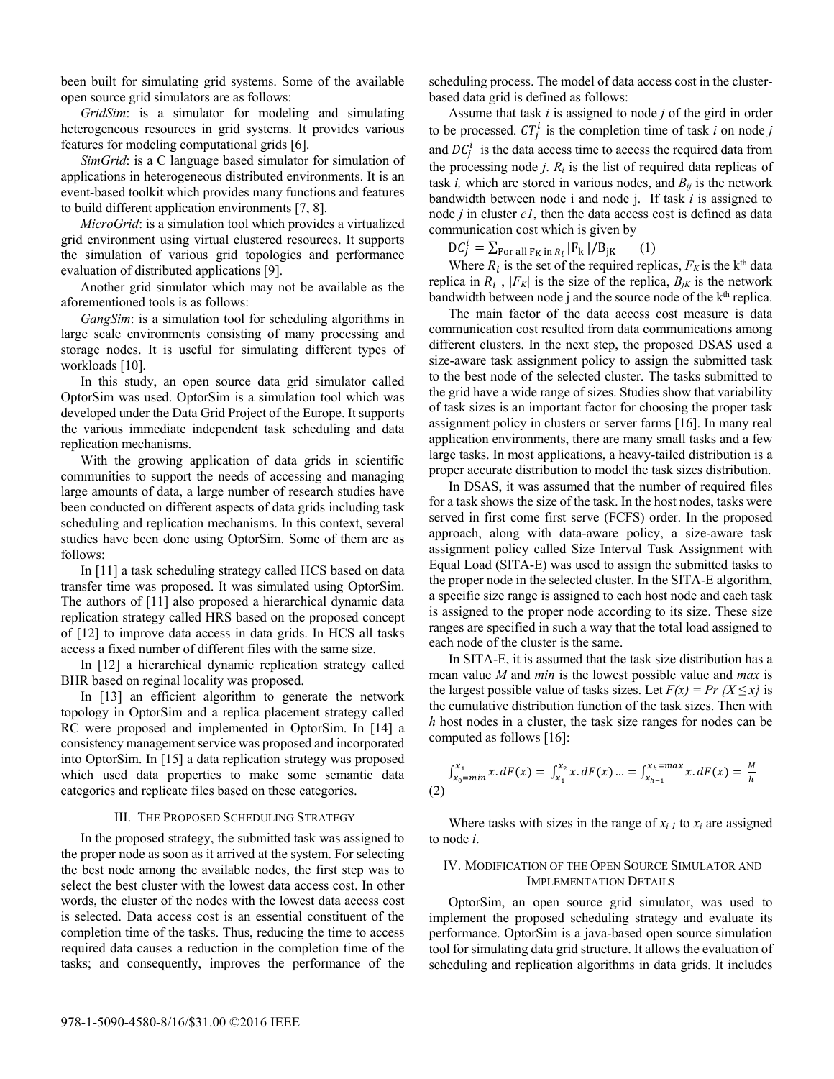been built for simulating grid systems. Some of the available open source grid simulators are as follows:

*GridSim*: is a simulator for modeling and simulating heterogeneous resources in grid systems. It provides various features for modeling computational grids [6].

*SimGrid*: is a C language based simulator for simulation of applications in heterogeneous distributed environments. It is an event-based toolkit which provides many functions and features to build different application environments [7, 8].

*MicroGrid*: is a simulation tool which provides a virtualized grid environment using virtual clustered resources. It supports the simulation of various grid topologies and performance evaluation of distributed applications [9].

Another grid simulator which may not be available as the aforementioned tools is as follows:

*GangSim*: is a simulation tool for scheduling algorithms in large scale environments consisting of many processing and storage nodes. It is useful for simulating different types of workloads [10].

In this study, an open source data grid simulator called OptorSim was used. OptorSim is a simulation tool which was developed under the Data Grid Project of the Europe. It supports the various immediate independent task scheduling and data replication mechanisms.

With the growing application of data grids in scientific communities to support the needs of accessing and managing large amounts of data, a large number of research studies have been conducted on different aspects of data grids including task scheduling and replication mechanisms. In this context, several studies have been done using OptorSim. Some of them are as follows:

In [11] a task scheduling strategy called HCS based on data transfer time was proposed. It was simulated using OptorSim. The authors of [11] also proposed a hierarchical dynamic data replication strategy called HRS based on the proposed concept of [12] to improve data access in data grids. In HCS all tasks access a fixed number of different files with the same size.

In [12] a hierarchical dynamic replication strategy called BHR based on reginal locality was proposed.

In [13] an efficient algorithm to generate the network topology in OptorSim and a replica placement strategy called RC were proposed and implemented in OptorSim. In [14] a consistency management service was proposed and incorporated into OptorSim. In [15] a data replication strategy was proposed which used data properties to make some semantic data categories and replicate files based on these categories.

#### III. THE PROPOSED SCHEDULING STRATEGY

In the proposed strategy, the submitted task was assigned to the proper node as soon as it arrived at the system. For selecting the best node among the available nodes, the first step was to select the best cluster with the lowest data access cost. In other words, the cluster of the nodes with the lowest data access cost is selected. Data access cost is an essential constituent of the completion time of the tasks. Thus, reducing the time to access required data causes a reduction in the completion time of the tasks; and consequently, improves the performance of the

scheduling process. The model of data access cost in the clusterbased data grid is defined as follows:

Assume that task *i* is assigned to node *j* of the gird in order to be processed.  $CT_j^i$  is the completion time of task *i* on node *j* and  $DC_j^i$  is the data access time to access the required data from the processing node  $j$ .  $R_i$  is the list of required data replicas of task *i*, which are stored in various nodes, and  $B_{ij}$  is the network bandwidth between node i and node j. If task *i* is assigned to node *j* in cluster *c1*, then the data access cost is defined as data communication cost which is given by

$$
\mathbf{D}C_j^i = \sum_{\text{For all } \mathbf{F}_{\mathbf{K}} \text{ in } \mathbf{R}_i} |\mathbf{F}_{\mathbf{k}}| / \mathbf{B}_{j\mathbf{K}} \qquad (1)
$$

Where  $R_i$  is the set of the required replicas,  $F_K$  is the k<sup>th</sup> data replica in  $R_i$ ,  $|F_K|$  is the size of the replica,  $B_{jk}$  is the network bandwidth between node j and the source node of the k<sup>th</sup> replica.

The main factor of the data access cost measure is data communication cost resulted from data communications among different clusters. In the next step, the proposed DSAS used a size-aware task assignment policy to assign the submitted task to the best node of the selected cluster. The tasks submitted to the grid have a wide range of sizes. Studies show that variability of task sizes is an important factor for choosing the proper task assignment policy in clusters or server farms [16]. In many real application environments, there are many small tasks and a few large tasks. In most applications, a heavy-tailed distribution is a proper accurate distribution to model the task sizes distribution.

In DSAS, it was assumed that the number of required files for a task shows the size of the task. In the host nodes, tasks were served in first come first serve (FCFS) order. In the proposed approach, along with data-aware policy, a size-aware task assignment policy called Size Interval Task Assignment with Equal Load (SITA-E) was used to assign the submitted tasks to the proper node in the selected cluster. In the SITA-E algorithm, a specific size range is assigned to each host node and each task is assigned to the proper node according to its size. These size ranges are specified in such a way that the total load assigned to each node of the cluster is the same.

In SITA-E, it is assumed that the task size distribution has a mean value *M* and *min* is the lowest possible value and *max* is the largest possible value of tasks sizes. Let  $F(x) = Pr(X \le x)$  is the cumulative distribution function of the task sizes. Then with *h* host nodes in a cluster, the task size ranges for nodes can be computed as follows [16]:

$$
\int_{x_0 = min}^{x_1} x \, dF(x) = \int_{x_1}^{x_2} x \, dF(x) \, \dots = \int_{x_{h-1}}^{x_h = max} x \, dF(x) = \frac{M}{h}
$$
\n(2)

Where tasks with sizes in the range of  $x_{i-1}$  to  $x_i$  are assigned to node *i*.

## IV. MODIFICATION OF THE OPEN SOURCE SIMULATOR AND IMPLEMENTATION DETAILS

OptorSim, an open source grid simulator, was used to implement the proposed scheduling strategy and evaluate its performance. OptorSim is a java-based open source simulation tool for simulating data grid structure. It allows the evaluation of scheduling and replication algorithms in data grids. It includes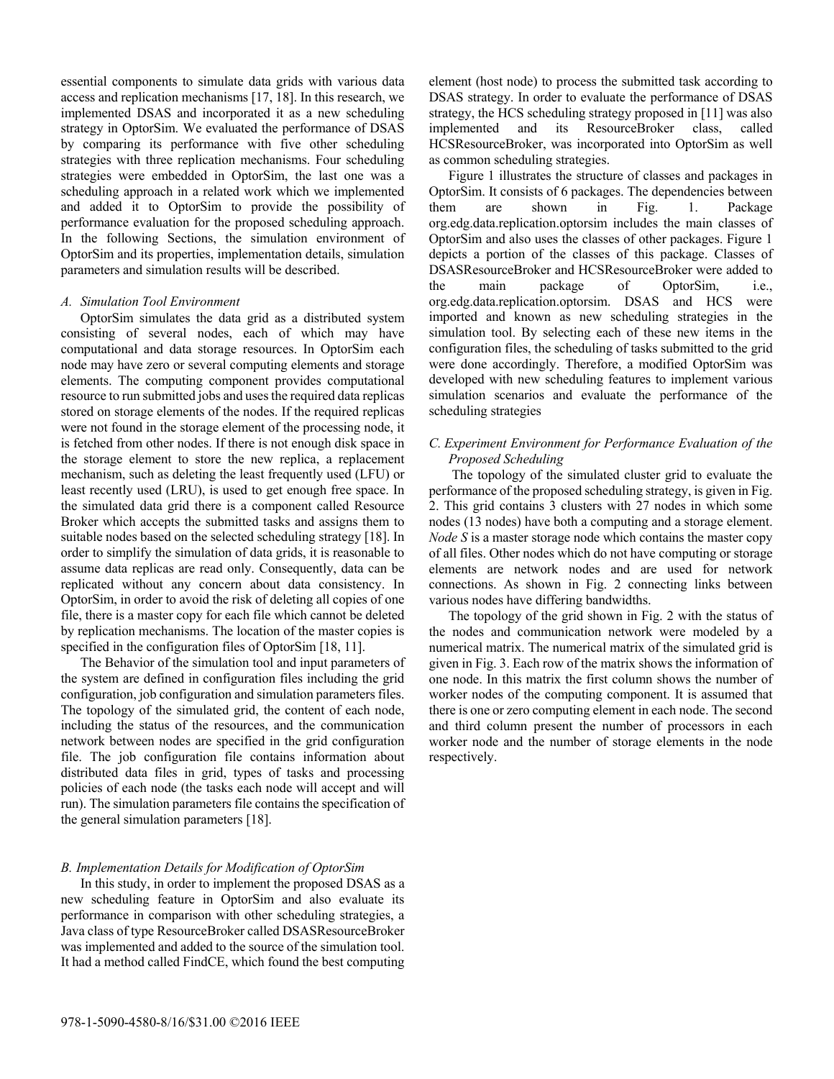essential components to simulate data grids with various data access and replication mechanisms [17, 18]. In this research, we implemented DSAS and incorporated it as a new scheduling strategy in OptorSim. We evaluated the performance of DSAS by comparing its performance with five other scheduling strategies with three replication mechanisms. Four scheduling strategies were embedded in OptorSim, the last one was a scheduling approach in a related work which we implemented and added it to OptorSim to provide the possibility of performance evaluation for the proposed scheduling approach. In the following Sections, the simulation environment of OptorSim and its properties, implementation details, simulation parameters and simulation results will be described.

#### *A. Simulation Tool Environment*

OptorSim simulates the data grid as a distributed system consisting of several nodes, each of which may have computational and data storage resources. In OptorSim each node may have zero or several computing elements and storage elements. The computing component provides computational resource to run submitted jobs and uses the required data replicas stored on storage elements of the nodes. If the required replicas were not found in the storage element of the processing node, it is fetched from other nodes. If there is not enough disk space in the storage element to store the new replica, a replacement mechanism, such as deleting the least frequently used (LFU) or least recently used (LRU), is used to get enough free space. In the simulated data grid there is a component called Resource Broker which accepts the submitted tasks and assigns them to suitable nodes based on the selected scheduling strategy [18]. In order to simplify the simulation of data grids, it is reasonable to assume data replicas are read only. Consequently, data can be replicated without any concern about data consistency. In OptorSim, in order to avoid the risk of deleting all copies of one file, there is a master copy for each file which cannot be deleted by replication mechanisms. The location of the master copies is specified in the configuration files of OptorSim [18, 11].

The Behavior of the simulation tool and input parameters of the system are defined in configuration files including the grid configuration, job configuration and simulation parameters files. The topology of the simulated grid, the content of each node, including the status of the resources, and the communication network between nodes are specified in the grid configuration file. The job configuration file contains information about distributed data files in grid, types of tasks and processing policies of each node (the tasks each node will accept and will run). The simulation parameters file contains the specification of the general simulation parameters [18].

## *B. Implementation Details for Modification of OptorSim*

In this study, in order to implement the proposed DSAS as a new scheduling feature in OptorSim and also evaluate its performance in comparison with other scheduling strategies, a Java class of type ResourceBroker called DSASResourceBroker was implemented and added to the source of the simulation tool. It had a method called FindCE, which found the best computing element (host node) to process the submitted task according to DSAS strategy. In order to evaluate the performance of DSAS strategy, the HCS scheduling strategy proposed in [11] was also implemented and its ResourceBroker class, called HCSResourceBroker, was incorporated into OptorSim as well as common scheduling strategies.

Figure 1 illustrates the structure of classes and packages in OptorSim. It consists of 6 packages. The dependencies between them are shown in Fig. 1. Package org.edg.data.replication.optorsim includes the main classes of OptorSim and also uses the classes of other packages. Figure 1 depicts a portion of the classes of this package. Classes of DSASResourceBroker and HCSResourceBroker were added to the main package of OptorSim, i.e., org.edg.data.replication.optorsim. DSAS and HCS were imported and known as new scheduling strategies in the simulation tool. By selecting each of these new items in the configuration files, the scheduling of tasks submitted to the grid were done accordingly. Therefore, a modified OptorSim was developed with new scheduling features to implement various simulation scenarios and evaluate the performance of the scheduling strategies

# *C. Experiment Environment for Performance Evaluation of the Proposed Scheduling*

 The topology of the simulated cluster grid to evaluate the performance of the proposed scheduling strategy, is given in Fig. 2. This grid contains 3 clusters with 27 nodes in which some nodes (13 nodes) have both a computing and a storage element. *Node S* is a master storage node which contains the master copy of all files. Other nodes which do not have computing or storage elements are network nodes and are used for network connections. As shown in Fig. 2 connecting links between various nodes have differing bandwidths.

The topology of the grid shown in Fig. 2 with the status of the nodes and communication network were modeled by a numerical matrix. The numerical matrix of the simulated grid is given in Fig. 3. Each row of the matrix shows the information of one node. In this matrix the first column shows the number of worker nodes of the computing component. It is assumed that there is one or zero computing element in each node. The second and third column present the number of processors in each worker node and the number of storage elements in the node respectively.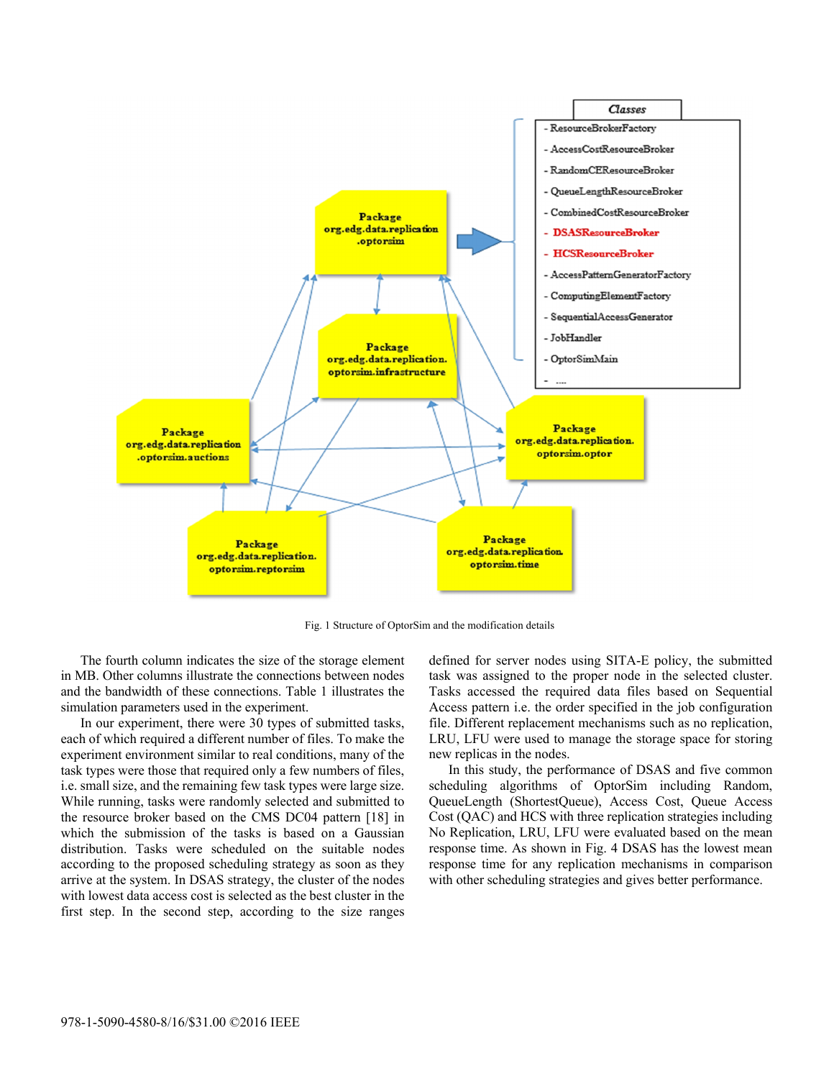

Fig. 1 Structure of OptorSim and the modification details

The fourth column indicates the size of the storage element in MB. Other columns illustrate the connections between nodes and the bandwidth of these connections. Table 1 illustrates the simulation parameters used in the experiment.

In our experiment, there were 30 types of submitted tasks, each of which required a different number of files. To make the experiment environment similar to real conditions, many of the task types were those that required only a few numbers of files, i.e. small size, and the remaining few task types were large size. While running, tasks were randomly selected and submitted to the resource broker based on the CMS DC04 pattern [18] in which the submission of the tasks is based on a Gaussian distribution. Tasks were scheduled on the suitable nodes according to the proposed scheduling strategy as soon as they arrive at the system. In DSAS strategy, the cluster of the nodes with lowest data access cost is selected as the best cluster in the first step. In the second step, according to the size ranges

defined for server nodes using SITA-E policy, the submitted task was assigned to the proper node in the selected cluster. Tasks accessed the required data files based on Sequential Access pattern i.e. the order specified in the job configuration file. Different replacement mechanisms such as no replication, LRU, LFU were used to manage the storage space for storing new replicas in the nodes.

In this study, the performance of DSAS and five common scheduling algorithms of OptorSim including Random, QueueLength (ShortestQueue), Access Cost, Queue Access Cost (QAC) and HCS with three replication strategies including No Replication, LRU, LFU were evaluated based on the mean response time. As shown in Fig. 4 DSAS has the lowest mean response time for any replication mechanisms in comparison with other scheduling strategies and gives better performance.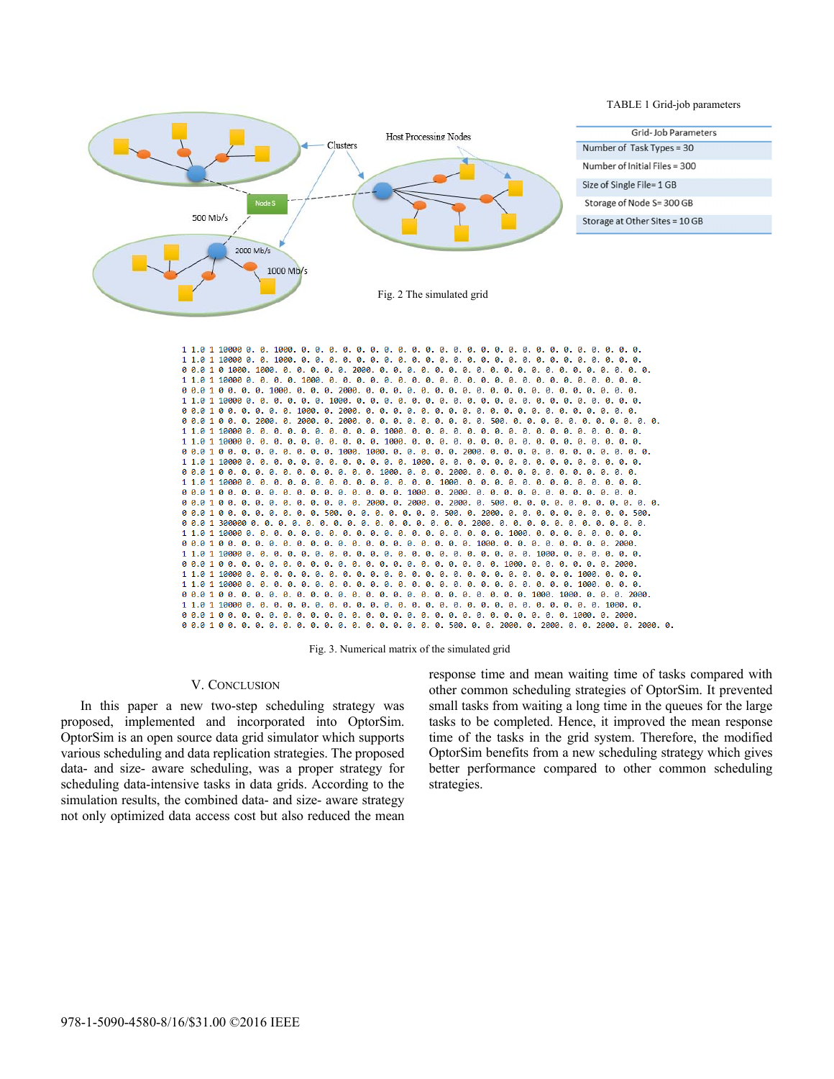

 $0\ 0.0\ 1\ 0\ 0. \quad 0.0\ 0. \quad 0.0\ 0. \quad 0.0\ 0. \quad 0.0\ 0. \quad 0.000\ 0. \quad 0.0\ 0. \quad 0.0\ 0. \quad 0.0\ 0. \quad 0.0\ 0. \quad 0.0\ 0. \quad 0.0\ 0. \quad 0.0\ 0. \quad 0.0\ 0. \quad 0.0\ 0. \quad 0.0\ 0. \quad 0.0\ 0. \quad 0.0\ 0. \quad 0.0\ 0. \quad 0.0\ 0. \quad 0.0\ 0. \quad$  $0\ \, 0.0\ \, 1\ \, 0\ \, 0. \quad 0.0\ \, 0. \quad 0.0\ \, 0. \quad 0.0\ \, 0. \quad 0.0\ \, 0.0\ \, 0.0\ \, 0.0\ \, 0.0\ \, 0.0\ \, 0.0\ \, 0.0\ \, 0.0\ \, 0.0\ \, 0.0\ \, 0.0\ \, 0.0\ \, 0.0\ \, 0.0\ \, 0.0\ \, 0.0\ \, 0.0\ \, 0.0\ \$  $0\ 0.0\ 1\ 0\ 0. \quad 0.0\ 0. \quad 0.0\ 0. \quad 0.0\ 0. \quad 0.0\ 0. \quad 0.0\ 0. \quad 0.0\ 0. \quad 0.0\ 0. \quad 0.0\ 0. \quad 0.0\ 0. \quad 0.0\ 0. \quad 0.0\ 0. \quad 0.0\ 0. \quad 0.0\ 0. \quad 0.0\ 0. \quad 0.0\ 0. \quad 0.0\ 0. \quad 0.0\ 0. \quad 0.0\ 0. \quad 0.0\ 0. \quad 0.0\ 0. \quad 0$ 

Fig. 3. Numerical matrix of the simulated grid

#### V. CONCLUSION

In this paper a new two-step scheduling strategy was proposed, implemented and incorporated into OptorSim. OptorSim is an open source data grid simulator which supports various scheduling and data replication strategies. The proposed data- and size- aware scheduling, was a proper strategy for scheduling data-intensive tasks in data grids. According to the simulation results, the combined data- and size- aware strategy not only optimized data access cost but also reduced the mean response time and mean waiting time of tasks compared with other common scheduling strategies of OptorSim. It prevented small tasks from waiting a long time in the queues for the large tasks to be completed. Hence, it improved the mean response time of the tasks in the grid system. Therefore, the modified OptorSim benefits from a new scheduling strategy which gives better performance compared to other common scheduling strategies.